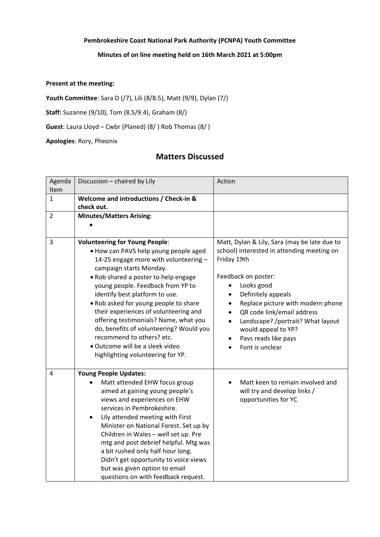## **Pembrokeshire Coast National Park Authority (PCNPA) Youth Committee**

## **Minutes of on line meeting held on 16th March 2021 at 5:00pm**

## **Present at the meeting:**

**Youth Committee**: Sara D (/7), Lili (8/8.5), Matt (9/9), Dylan (7/)

**Staff:** Suzanne (9/10), Tom (8.5/9.4), Graham (8/)

**Guest**: Laura Lloyd – Cwbr (Planed) (8/ ) Rob Thomas (8/ )

**Apologies**: Rory, Pheonix

## **Matters Discussed**

| Agenda         | Discussion - chaired by Lily               | Action                                       |
|----------------|--------------------------------------------|----------------------------------------------|
| Item           |                                            |                                              |
| $\mathbf{1}$   | Welcome and introductions / Check-in &     |                                              |
|                | check out.                                 |                                              |
| $\overline{2}$ | <b>Minutes/Matters Arising:</b>            |                                              |
|                |                                            |                                              |
|                |                                            |                                              |
| 3              | <b>Volunteering for Young People:</b>      | Matt, Dylan & Lily, Sara (may be late due to |
|                | . How can PAVS help young people aged      | school) interested in attending meeting on   |
|                | 14-25 engage more with volunteering -      | Friday 19th                                  |
|                | campaign starts Monday.                    |                                              |
|                | . Rob shared a poster to help engage       | Feedback on poster:                          |
|                | young people. Feedback from YP to          | Looks good                                   |
|                | identify best platform to use.             | Definitely appeals                           |
|                | . Rob asked for young people to share      | Replace picture with modern phone            |
|                | their experiences of volunteering and      | QR code link/email address                   |
|                | offering testimonials? Name, what you      | Landscape? /portrait? What layout            |
|                | do, benefits of volunteering? Would you    | would appeal to YP?                          |
|                | recommend to others? etc.                  | Pavs reads like pays                         |
|                | • Outcome will be a sleek video            | Font is unclear                              |
|                | highlighting volunteering for YP.          |                                              |
|                |                                            |                                              |
| 4              | <b>Young People Updates:</b>               |                                              |
|                | Matt attended EHW focus group<br>$\bullet$ | Matt keen to remain involved and             |
|                | aimed at gaining young people's            | will try and develop links /                 |
|                | views and experiences on EHW               | opportunities for YC                         |
|                | services in Pembrokeshire.                 |                                              |
|                | Lily attended meeting with First           |                                              |
|                | Minister on National Forest. Set up by     |                                              |
|                | Children in Wales - well set up. Pre       |                                              |
|                | mtg and post debrief helpful. Mtg was      |                                              |
|                | a bit rushed only half hour long.          |                                              |
|                | Didn't get opportunity to voice views      |                                              |
|                | but was given option to email              |                                              |
|                | questions on with feedback request.        |                                              |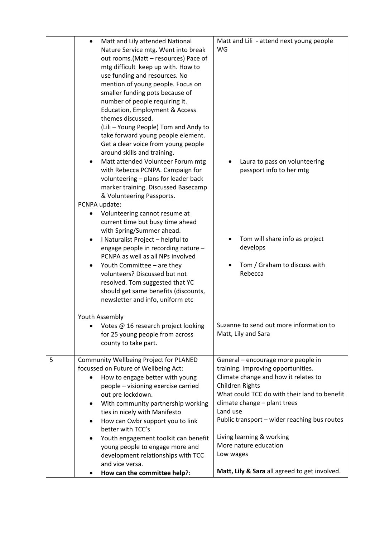|   | Matt and Lily attended National<br>$\bullet$                           | Matt and Lili - attend next young people           |
|---|------------------------------------------------------------------------|----------------------------------------------------|
|   | Nature Service mtg. Went into break                                    | WG                                                 |
|   | out rooms. (Matt - resources) Pace of                                  |                                                    |
|   | mtg difficult keep up with. How to                                     |                                                    |
|   | use funding and resources. No                                          |                                                    |
|   | mention of young people. Focus on                                      |                                                    |
|   | smaller funding pots because of                                        |                                                    |
|   | number of people requiring it.                                         |                                                    |
|   | Education, Employment & Access                                         |                                                    |
|   | themes discussed.                                                      |                                                    |
|   | (Lili - Young People) Tom and Andy to                                  |                                                    |
|   | take forward young people element.                                     |                                                    |
|   | Get a clear voice from young people                                    |                                                    |
|   | around skills and training.                                            |                                                    |
|   | Matt attended Volunteer Forum mtg                                      | Laura to pass on volunteering                      |
|   | with Rebecca PCNPA. Campaign for                                       | passport info to her mtg                           |
|   | volunteering - plans for leader back                                   |                                                    |
|   | marker training. Discussed Basecamp                                    |                                                    |
|   | & Volunteering Passports.                                              |                                                    |
|   | PCNPA update:                                                          |                                                    |
|   | Volunteering cannot resume at                                          |                                                    |
|   | current time but busy time ahead<br>with Spring/Summer ahead.          |                                                    |
|   | I Naturalist Project - helpful to<br>$\bullet$                         | Tom will share info as project                     |
|   | engage people in recording nature -                                    | develops                                           |
|   | PCNPA as well as all NPs involved                                      |                                                    |
|   | Youth Committee - are they                                             | Tom / Graham to discuss with                       |
|   | volunteers? Discussed but not                                          | Rebecca                                            |
|   | resolved. Tom suggested that YC                                        |                                                    |
|   | should get same benefits (discounts,                                   |                                                    |
|   | newsletter and info, uniform etc                                       |                                                    |
|   |                                                                        |                                                    |
|   | Youth Assembly                                                         | Suzanne to send out more information to            |
|   | Votes @ 16 research project looking<br>for 25 young people from across | Matt, Lily and Sara                                |
|   | county to take part.                                                   |                                                    |
|   |                                                                        |                                                    |
| 5 | Community Wellbeing Project for PLANED                                 | General - encourage more people in                 |
|   | focussed on Future of Wellbeing Act:                                   | training. Improving opportunities.                 |
|   | How to engage better with young                                        | Climate change and how it relates to               |
|   | people - visioning exercise carried                                    | Children Rights                                    |
|   | out pre lockdown.                                                      | What could TCC do with their land to benefit       |
|   | With community partnership working<br>٠                                | climate change - plant trees                       |
|   | ties in nicely with Manifesto                                          | Land use                                           |
|   | How can Cwbr support you to link<br>٠                                  | Public transport - wider reaching bus routes       |
|   | better with TCC's                                                      |                                                    |
|   | Youth engagement toolkit can benefit<br>$\bullet$                      | Living learning & working<br>More nature education |
|   | young people to engage more and                                        | Low wages                                          |
|   | development relationships with TCC<br>and vice versa.                  |                                                    |
|   | How can the committee help?:                                           | Matt, Lily & Sara all agreed to get involved.      |
|   |                                                                        |                                                    |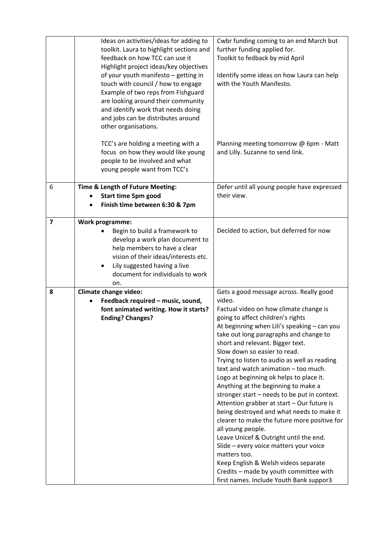|                | Ideas on activities/ideas for adding to<br>toolkit. Laura to highlight sections and<br>feedback on how TCC can use it<br>Highlight project ideas/key objectives<br>of your youth manifesto - getting in<br>touch with council / how to engage<br>Example of two reps from Fishguard<br>are looking around their community<br>and identify work that needs doing<br>and jobs can be distributes around<br>other organisations. | Cwbr funding coming to an end March but<br>further funding applied for.<br>Toolkit to fedback by mid April<br>Identify some ideas on how Laura can help<br>with the Youth Manifesto.                                                                                                                                                                                                                                                                                                                                                                                                                                                                                                                                                                                                                                                                                                                                     |
|----------------|-------------------------------------------------------------------------------------------------------------------------------------------------------------------------------------------------------------------------------------------------------------------------------------------------------------------------------------------------------------------------------------------------------------------------------|--------------------------------------------------------------------------------------------------------------------------------------------------------------------------------------------------------------------------------------------------------------------------------------------------------------------------------------------------------------------------------------------------------------------------------------------------------------------------------------------------------------------------------------------------------------------------------------------------------------------------------------------------------------------------------------------------------------------------------------------------------------------------------------------------------------------------------------------------------------------------------------------------------------------------|
|                | TCC's are holding a meeting with a<br>focus on how they would like young<br>people to be involved and what<br>young people want from TCC's                                                                                                                                                                                                                                                                                    | Planning meeting tomorrow @ 6pm - Matt<br>and Lilly. Suzanne to send link.                                                                                                                                                                                                                                                                                                                                                                                                                                                                                                                                                                                                                                                                                                                                                                                                                                               |
| 6              | Time & Length of Future Meeting:<br><b>Start time 5pm good</b><br>Finish time between 6:30 & 7pm                                                                                                                                                                                                                                                                                                                              | Defer until all young people have expressed<br>their view.                                                                                                                                                                                                                                                                                                                                                                                                                                                                                                                                                                                                                                                                                                                                                                                                                                                               |
| $\overline{7}$ | <b>Work programme:</b><br>Begin to build a framework to<br>develop a work plan document to<br>help members to have a clear<br>vision of their ideas/interests etc.<br>Lily suggested having a live<br>document for individuals to work<br>on.                                                                                                                                                                                 | Decided to action, but deferred for now                                                                                                                                                                                                                                                                                                                                                                                                                                                                                                                                                                                                                                                                                                                                                                                                                                                                                  |
| 8              | Climate change video:<br>Feedback required - music, sound,<br>font animated writing. How it starts?<br><b>Ending? Changes?</b>                                                                                                                                                                                                                                                                                                | Gets a good message across. Really good<br>video.<br>Factual video on how climate change is<br>going to affect children's rights<br>At beginning when Lili's speaking - can you<br>take out long paragraphs and change to<br>short and relevant. Bigger text.<br>Slow down so easier to read.<br>Trying to listen to audio as well as reading<br>text and watch animation - too much.<br>Logo at beginning ok helps to place it.<br>Anything at the beginning to make a<br>stronger start - needs to be put in context.<br>Attention grabber at start - Our future is<br>being destroyed and what needs to make it<br>clearer to make the future more positive for<br>all young people.<br>Leave Unicef & Outright until the end.<br>Slide - every voice matters your voice<br>matters too.<br>Keep English & Welsh videos separate<br>Credits - made by youth committee with<br>first names. Include Youth Bank suppor3 |